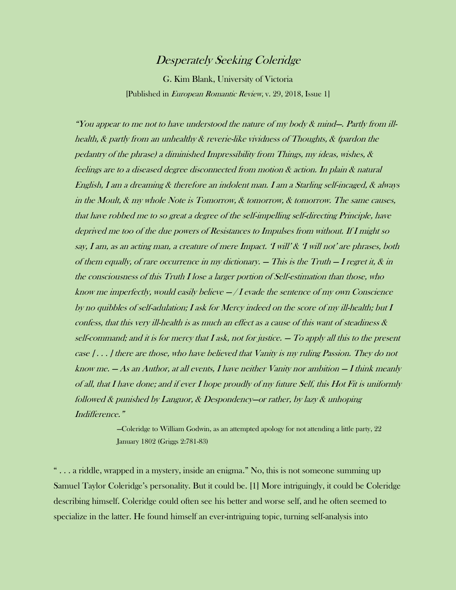## Desperately Seeking Coleridge

G. Kim Blank, University of Victoria [Published in *European Romantic Review*, v. 29, 2018, Issue 1]

"You appear to me not to have understood the nature of my body  $\&$  mind-. Partly from illhealth, & partly from an unhealthy & reverie-like vividness of Thoughts, & (pardon the pedantry of the phrase) a diminished Impressibility from Things, my ideas, wishes, & feelings are to a diseased degree disconnected from motion & action. In plain & natural English, I am a dreaming & therefore an indolent man. I am a Starling self-incaged, & always in the Moult, & my whole Note is Tomorrow, & tomorrow, & tomorrow. The same causes, that have robbed me to so great a degree of the self-impelling self-directing Principle, have deprived me too of the due powers of Resistances to Impulses from without. If I might so say, I am, as an acting man, a creature of mere Impact. T will  $\&$  T will not' are phrases, both of them equally, of rare occurrence in my dictionary.  $-$  This is the Truth  $-$  I regret it,  $\&$  in the consciousness of this Truth I lose a larger portion of Self-estimation than those, who know me imperfectly, would easily believe  $-$  / I evade the sentence of my own Conscience by no quibbles of self-adulation; I ask for Mercy indeed on the score of my ill-health; but I confess, that this very ill-health is as much an effect as a cause of this want of steadiness & self-command; and it is for mercy that I ask, not for justice.  $-$  To apply all this to the present case  $[\ldots]$  there are those, who have believed that Vanity is my ruling Passion. They do not know me.  $-$  As an Author, at all events, I have neither Vanity nor ambition  $-$  I think meanly of all, that I have done; and if ever I hope proudly of my future Self, this Hot Fit is uniformly followed & punished by Languor, & Despondency—or rather, by lazy & unhoping Indifference."

> —Coleridge to William Godwin, as an attempted apology for not attending a little party, 22 January 1802 (Griggs 2:781-83)

" . . . a riddle, wrapped in a mystery, inside an enigma." No, this is not someone summing up Samuel Taylor Coleridge's personality. But it could be. [1] More intriguingly, it could be Coleridge describing himself. Coleridge could often see his better and worse self, and he often seemed to specialize in the latter. He found himself an ever-intriguing topic, turning self-analysis into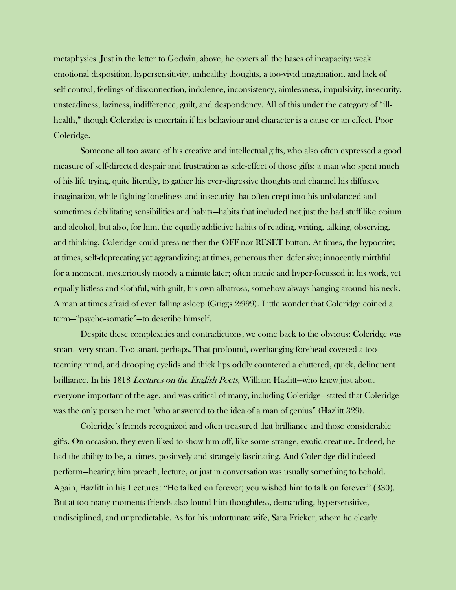metaphysics. Just in the letter to Godwin, above, he covers all the bases of incapacity: weak emotional disposition, hypersensitivity, unhealthy thoughts, a too-vivid imagination, and lack of self-control; feelings of disconnection, indolence, inconsistency, aimlessness, impulsivity, insecurity, unsteadiness, laziness, indifference, guilt, and despondency. All of this under the category of "illhealth," though Coleridge is uncertain if his behaviour and character is a cause or an effect. Poor Coleridge.

Someone all too aware of his creative and intellectual gifts, who also often expressed a good measure of self-directed despair and frustration as side-effect of those gifts; a man who spent much of his life trying, quite literally, to gather his ever-digressive thoughts and channel his diffusive imagination, while fighting loneliness and insecurity that often crept into his unbalanced and sometimes debilitating sensibilities and habits—habits that included not just the bad stuff like opium and alcohol, but also, for him, the equally addictive habits of reading, writing, talking, observing, and thinking. Coleridge could press neither the OFF nor RESET button. At times, the hypocrite; at times, self-deprecating yet aggrandizing; at times, generous then defensive; innocently mirthful for a moment, mysteriously moody a minute later; often manic and hyper-focussed in his work, yet equally listless and slothful, with guilt, his own albatross, somehow always hanging around his neck. A man at times afraid of even falling asleep (Griggs 2:999). Little wonder that Coleridge coined a term—"psycho-somatic"—to describe himself.

Despite these complexities and contradictions, we come back to the obvious: Coleridge was smart—very smart. Too smart, perhaps. That profound, overhanging forehead covered a tooteeming mind, and drooping eyelids and thick lips oddly countered a cluttered, quick, delinquent brilliance. In his 1818 Lectures on the English Poets, William Hazlitt-who knew just about everyone important of the age, and was critical of many, including Coleridge—stated that Coleridge was the only person he met "who answered to the idea of a man of genius" (Hazlitt 329).

Coleridge's friends recognized and often treasured that brilliance and those considerable gifts. On occasion, they even liked to show him off, like some strange, exotic creature. Indeed, he had the ability to be, at times, positively and strangely fascinating. And Coleridge did indeed perform—hearing him preach, lecture, or just in conversation was usually something to behold. Again, Hazlitt in his Lectures: "He talked on forever; you wished him to talk on forever" (330). But at too many moments friends also found him thoughtless, demanding, hypersensitive, undisciplined, and unpredictable. As for his unfortunate wife, Sara Fricker, whom he clearly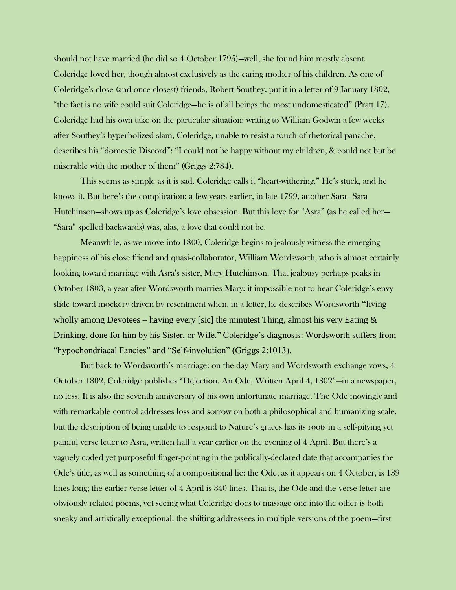should not have married (he did so 4 October 1795)—well, she found him mostly absent. Coleridge loved her, though almost exclusively as the caring mother of his children. As one of Coleridge's close (and once closest) friends, Robert Southey, put it in a letter of 9 January 1802, "the fact is no wife could suit Coleridge—he is of all beings the most undomesticated" (Pratt 17). Coleridge had his own take on the particular situation: writing to William Godwin a few weeks after Southey's hyperbolized slam, Coleridge, unable to resist a touch of rhetorical panache, describes his "domestic Discord": "I could not be happy without my children, & could not but be miserable with the mother of them" (Griggs 2:784).

This seems as simple as it is sad. Coleridge calls it "heart-withering." He's stuck, and he knows it. But here's the complication: a few years earlier, in late 1799, another Sara—Sara Hutchinson—shows up as Coleridge's love obsession. But this love for "Asra" (as he called her— "Sara" spelled backwards) was, alas, a love that could not be.

Meanwhile, as we move into 1800, Coleridge begins to jealously witness the emerging happiness of his close friend and quasi-collaborator, William Wordsworth, who is almost certainly looking toward marriage with Asra's sister, Mary Hutchinson. That jealousy perhaps peaks in October 1803, a year after Wordsworth marries Mary: it impossible not to hear Coleridge's envy slide toward mockery driven by resentment when, in a letter, he describes Wordsworth "living wholly among Devotees – having every [sic] the minutest Thing, almost his very Eating  $\&$ Drinking, done for him by his Sister, or Wife." Coleridge's diagnosis: Wordsworth suffers from "hypochondriacal Fancies" and "Self-involution" (Griggs 2:1013).

But back to Wordsworth's marriage: on the day Mary and Wordsworth exchange vows, 4 October 1802, Coleridge publishes "Dejection. An Ode, Written April 4, 1802"—in a newspaper, no less. It is also the seventh anniversary of his own unfortunate marriage. The Ode movingly and with remarkable control addresses loss and sorrow on both a philosophical and humanizing scale, but the description of being unable to respond to Nature's graces has its roots in a self-pitying yet painful verse letter to Asra, written half a year earlier on the evening of 4 April. But there's a vaguely coded yet purposeful finger-pointing in the publically-declared date that accompanies the Ode's title, as well as something of a compositional lie: the Ode, as it appears on 4 October, is 139 lines long; the earlier verse letter of 4 April is 340 lines. That is, the Ode and the verse letter are obviously related poems, yet seeing what Coleridge does to massage one into the other is both sneaky and artistically exceptional: the shifting addressees in multiple versions of the poem—first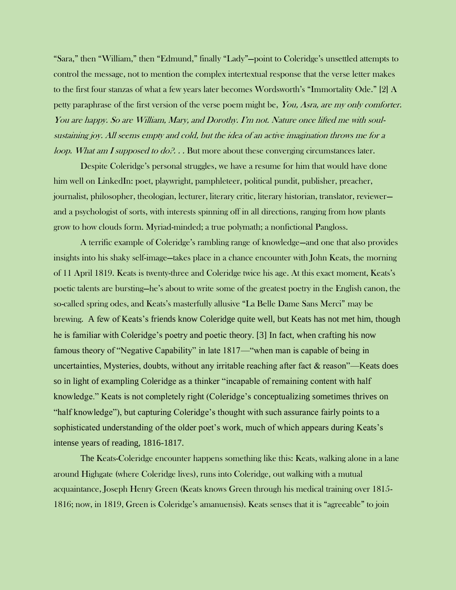"Sara," then "William," then "Edmund," finally "Lady"—point to Coleridge's unsettled attempts to control the message, not to mention the complex intertextual response that the verse letter makes to the first four stanzas of what a few years later becomes Wordsworth's "Immortality Ode." [2] A petty paraphrase of the first version of the verse poem might be, You, Asra, are my only comforter. You are happy. So are William, Mary, and Dorothy. I'm not. Nature once lifted me with soulsustaining joy. All seems empty and cold, but the idea of an active imagination throws me for a loop. What am I supposed to do?... But more about these converging circumstances later.

Despite Coleridge's personal struggles, we have a resume for him that would have done him well on LinkedIn: poet, playwright, pamphleteer, political pundit, publisher, preacher, journalist, philosopher, theologian, lecturer, literary critic, literary historian, translator, reviewer and a psychologist of sorts, with interests spinning off in all directions, ranging from how plants grow to how clouds form. Myriad-minded; a true polymath; a nonfictional Pangloss.

A terrific example of Coleridge's rambling range of knowledge—and one that also provides insights into his shaky self-image—takes place in a chance encounter with John Keats, the morning of 11 April 1819. Keats is twenty-three and Coleridge twice his age. At this exact moment, Keats's poetic talents are bursting—he's about to write some of the greatest poetry in the English canon, the so-called spring odes, and Keats's masterfully allusive "La Belle Dame Sans Merci" may be brewing. A few of Keats's friends know Coleridge quite well, but Keats has not met him, though he is familiar with Coleridge's poetry and poetic theory. [3] In fact, when crafting his now famous theory of "Negative Capability" in late 1817—"when man is capable of being in uncertainties, Mysteries, doubts, without any irritable reaching after fact & reason"—Keats does so in light of exampling Coleridge as a thinker "incapable of remaining content with half knowledge." Keats is not completely right (Coleridge's conceptualizing sometimes thrives on "half knowledge"), but capturing Coleridge's thought with such assurance fairly points to a sophisticated understanding of the older poet's work, much of which appears during Keats's intense years of reading, 1816-1817.

The Keats-Coleridge encounter happens something like this: Keats, walking alone in a lane around Highgate (where Coleridge lives), runs into Coleridge, out walking with a mutual acquaintance, Joseph Henry Green (Keats knows Green through his medical training over 1815- 1816; now, in 1819, Green is Coleridge's amanuensis). Keats senses that it is "agreeable" to join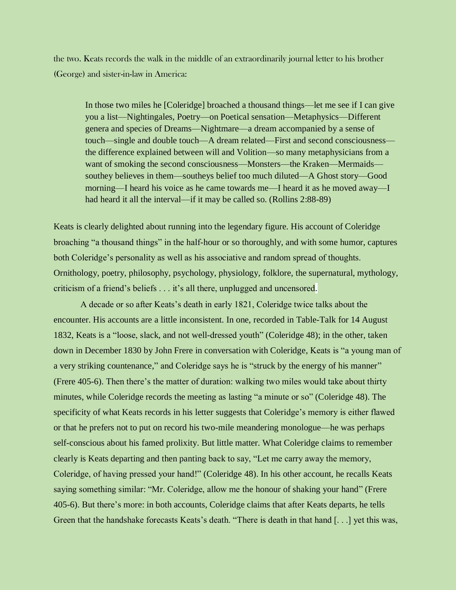the two. Keats records the walk in the middle of an extraordinarily journal letter to his brother (George) and sister-in-law in America:

In those two miles he [Coleridge] broached a thousand things—let me see if I can give you a list—Nightingales, Poetry—on Poetical sensation—Metaphysics—Different genera and species of Dreams—Nightmare—a dream accompanied by a sense of touch—single and double touch—A dream related—First and second consciousness the difference explained between will and Volition—so many metaphysicians from a want of smoking the second consciousness—Monsters—the Kraken—Mermaids southey believes in them—southeys belief too much diluted—A Ghost story—Good morning—I heard his voice as he came towards me—I heard it as he moved away—I had heard it all the interval—if it may be called so. (Rollins 2:88-89)

Keats is clearly delighted about running into the legendary figure. His account of Coleridge broaching "a thousand things" in the half-hour or so thoroughly, and with some humor, captures both Coleridge's personality as well as his associative and random spread of thoughts. Ornithology, poetry, philosophy, psychology, physiology, folklore, the supernatural, mythology, criticism of a friend's beliefs . . . it's all there, unplugged and uncensored.

A decade or so after Keats's death in early 1821, Coleridge twice talks about the encounter. His accounts are a little inconsistent. In one, recorded in Table-Talk for 14 August 1832, Keats is a "loose, slack, and not well-dressed youth" (Coleridge 48); in the other, taken down in December 1830 by John Frere in conversation with Coleridge, Keats is "a young man of a very striking countenance," and Coleridge says he is "struck by the energy of his manner" (Frere 405-6). Then there's the matter of duration: walking two miles would take about thirty minutes, while Coleridge records the meeting as lasting "a minute or so" (Coleridge 48). The specificity of what Keats records in his letter suggests that Coleridge's memory is either flawed or that he prefers not to put on record his two-mile meandering monologue—he was perhaps self-conscious about his famed prolixity. But little matter. What Coleridge claims to remember clearly is Keats departing and then panting back to say, "Let me carry away the memory, Coleridge, of having pressed your hand!" (Coleridge 48). In his other account, he recalls Keats saying something similar: "Mr. Coleridge, allow me the honour of shaking your hand" (Frere 405-6). But there's more: in both accounts, Coleridge claims that after Keats departs, he tells Green that the handshake forecasts Keats's death. "There is death in that hand [...] yet this was,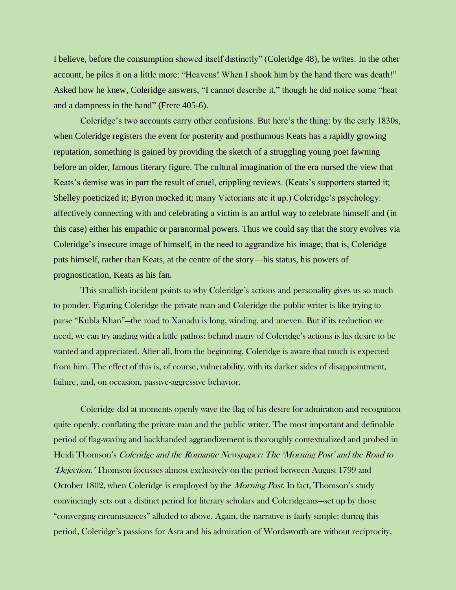I believe, before the consumption showed itself distinctly" (Coleridge 48), he writes. In the other account, he piles it on a little more: "Heavens! When I shook him by the hand there was death!" Asked how he knew, Coleridge answers, "I cannot describe it," though he did notice some "heat and a dampness in the hand" (Frere 405-6).

Coleridge's two accounts carry other confusions. But here's the thing: by the early 1830s, when Coleridge registers the event for posterity and posthumous Keats has a rapidly growing reputation, something is gained by providing the sketch of a struggling young poet fawning before an older, famous literary figure. The cultural imagination of the era nursed the view that Keats's demise was in part the result of cruel, crippling reviews. (Keats's supporters started it; Shelley poeticized it; Byron mocked it; many Victorians ate it up.) Coleridge's psychology: affectively connecting with and celebrating a victim is an artful way to celebrate himself and (in this case) either his empathic or paranormal powers. Thus we could say that the story evolves via Coleridge's insecure image of himself, in the need to aggrandize his image; that is, Coleridge puts himself, rather than Keats, at the centre of the story—his status, his powers of prognostication, Keats as his fan.

This smallish incident points to why Coleridge's actions and personality gives us so much to ponder. Figuring Coleridge the private man and Coleridge the public writer is like trying to parse "Kubla Khan"—the road to Xanadu is long, winding, and uneven. But if its reduction we need, we can try angling with a little pathos: behind many of Coleridge's actions is his desire to be wanted and appreciated. After all, from the beginning, Coleridge is aware that much is expected from him. The effect of this is, of course, vulnerability, with its darker sides of disappointment, failure, and, on occasion, passive-aggressive behavior.

Coleridge did at moments openly wave the flag of his desire for admiration and recognition quite openly, conflating the private man and the public writer. The most important and definable period of flag-waving and backhanded aggrandizement is thoroughly contextualized and probed in Heidi Thomson's Coleridge and the Romantic Newspaper: The 'Morning Post' and the Road to Dejection. Thomson focusses almost exclusively on the period between August 1799 and October 1802, when Coleridge is employed by the *Morning Post*. In fact, Thomson's study convincingly sets out a distinct period for literary scholars and Coleridgeans—set up by those "converging circumstances" alluded to above. Again, the narrative is fairly simple: during this period, Coleridge's passions for Asra and his admiration of Wordsworth are without reciprocity,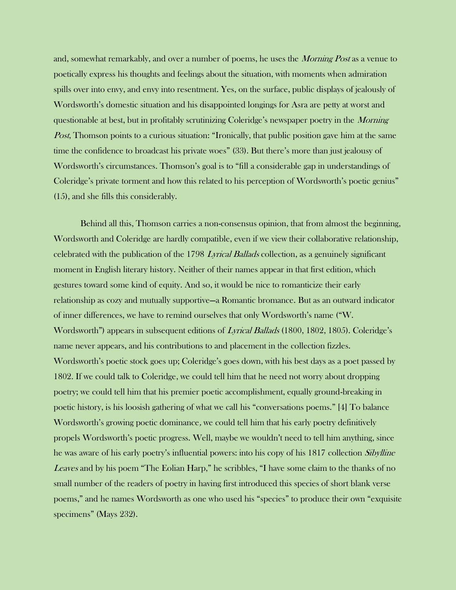and, somewhat remarkably, and over a number of poems, he uses the *Morning Post* as a venue to poetically express his thoughts and feelings about the situation, with moments when admiration spills over into envy, and envy into resentment. Yes, on the surface, public displays of jealously of Wordsworth's domestic situation and his disappointed longings for Asra are petty at worst and questionable at best, but in profitably scrutinizing Coleridge's newspaper poetry in the Morning Post, Thomson points to a curious situation: "Ironically, that public position gave him at the same time the confidence to broadcast his private woes" (33). But there's more than just jealousy of Wordsworth's circumstances. Thomson's goal is to "fill a considerable gap in understandings of Coleridge's private torment and how this related to his perception of Wordsworth's poetic genius" (15), and she fills this considerably.

Behind all this, Thomson carries a non-consensus opinion, that from almost the beginning, Wordsworth and Coleridge are hardly compatible, even if we view their collaborative relationship, celebrated with the publication of the 1798 Lyrical Ballads collection, as a genuinely significant moment in English literary history. Neither of their names appear in that first edition, which gestures toward some kind of equity. And so, it would be nice to romanticize their early relationship as cozy and mutually supportive—a Romantic bromance. But as an outward indicator of inner differences, we have to remind ourselves that only Wordsworth's name ("W. Wordsworth") appears in subsequent editions of *Lyrical Ballads* (1800, 1802, 1805). Coleridge's name never appears, and his contributions to and placement in the collection fizzles. Wordsworth's poetic stock goes up; Coleridge's goes down, with his best days as a poet passed by 1802. If we could talk to Coleridge, we could tell him that he need not worry about dropping poetry; we could tell him that his premier poetic accomplishment, equally ground-breaking in poetic history, is his loosish gathering of what we call his "conversations poems." [4] To balance Wordsworth's growing poetic dominance, we could tell him that his early poetry definitively propels Wordsworth's poetic progress. Well, maybe we wouldn't need to tell him anything, since he was aware of his early poetry's influential powers: into his copy of his 1817 collection *Sibylline* Leaves and by his poem "The Eolian Harp," he scribbles, "I have some claim to the thanks of no small number of the readers of poetry in having first introduced this species of short blank verse poems," and he names Wordsworth as one who used his "species" to produce their own "exquisite specimens" (Mays 232).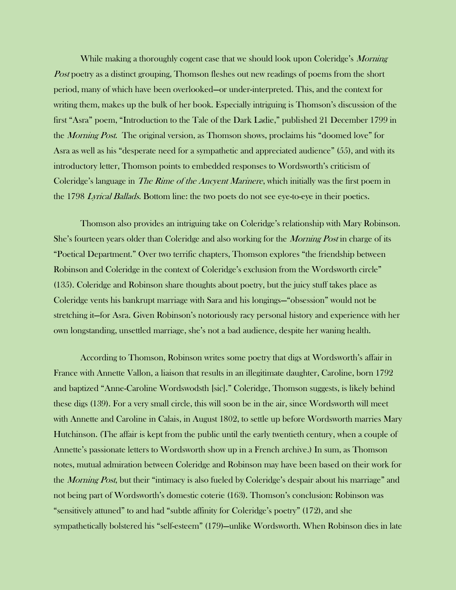While making a thoroughly cogent case that we should look upon Coleridge's *Morning* Post poetry as a distinct grouping, Thomson fleshes out new readings of poems from the short period, many of which have been overlooked—or under-interpreted. This, and the context for writing them, makes up the bulk of her book. Especially intriguing is Thomson's discussion of the first "Asra" poem, "Introduction to the Tale of the Dark Ladie," published 21 December 1799 in the *Morning Post*. The original version, as Thomson shows, proclaims his "doomed love" for Asra as well as his "desperate need for a sympathetic and appreciated audience" (55), and with its introductory letter, Thomson points to embedded responses to Wordsworth's criticism of Coleridge's language in *The Rime of the Ancyent Marinere*, which initially was the first poem in the 1798 Lyrical Ballads. Bottom line: the two poets do not see eye-to-eye in their poetics.

Thomson also provides an intriguing take on Coleridge's relationship with Mary Robinson. She's fourteen years older than Coleridge and also working for the *Morning Post* in charge of its "Poetical Department." Over two terrific chapters, Thomson explores "the friendship between Robinson and Coleridge in the context of Coleridge's exclusion from the Wordsworth circle" (135). Coleridge and Robinson share thoughts about poetry, but the juicy stuff takes place as Coleridge vents his bankrupt marriage with Sara and his longings—"obsession" would not be stretching it—for Asra. Given Robinson's notoriously racy personal history and experience with her own longstanding, unsettled marriage, she's not a bad audience, despite her waning health.

According to Thomson, Robinson writes some poetry that digs at Wordsworth's affair in France with Annette Vallon, a liaison that results in an illegitimate daughter, Caroline, born 1792 and baptized "Anne-Caroline Wordswodsth [sic]." Coleridge, Thomson suggests, is likely behind these digs (139). For a very small circle, this will soon be in the air, since Wordsworth will meet with Annette and Caroline in Calais, in August 1802, to settle up before Wordsworth marries Mary Hutchinson. (The affair is kept from the public until the early twentieth century, when a couple of Annette's passionate letters to Wordsworth show up in a French archive.) In sum, as Thomson notes, mutual admiration between Coleridge and Robinson may have been based on their work for the *Morning Post*, but their "intimacy is also fueled by Coleridge's despair about his marriage" and not being part of Wordsworth's domestic coterie (163). Thomson's conclusion: Robinson was "sensitively attuned" to and had "subtle affinity for Coleridge's poetry" (172), and she sympathetically bolstered his "self-esteem" (179)—unlike Wordsworth. When Robinson dies in late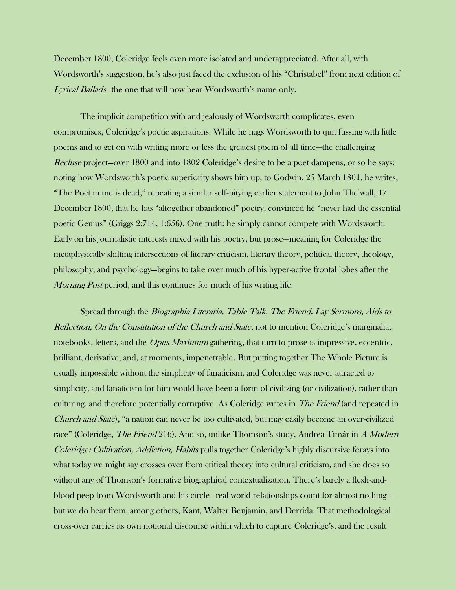December 1800, Coleridge feels even more isolated and underappreciated. After all, with Wordsworth's suggestion, he's also just faced the exclusion of his "Christabel" from next edition of Lyrical Ballads—the one that will now bear Wordsworth's name only.

The implicit competition with and jealously of Wordsworth complicates, even compromises, Coleridge's poetic aspirations. While he nags Wordsworth to quit fussing with little poems and to get on with writing more or less the greatest poem of all time—the challenging Recluse project—over 1800 and into 1802 Coleridge's desire to be a poet dampens, or so he says: noting how Wordsworth's poetic superiority shows him up, to Godwin, 25 March 1801, he writes, "The Poet in me is dead," repeating a similar self-pitying earlier statement to John Thelwall, 17 December 1800, that he has "altogether abandoned" poetry, convinced he "never had the essential poetic Genius" (Griggs 2:714, 1:656). One truth: he simply cannot compete with Wordsworth. Early on his journalistic interests mixed with his poetry, but prose—meaning for Coleridge the metaphysically shifting intersections of literary criticism, literary theory, political theory, theology, philosophy, and psychology—begins to take over much of his hyper-active frontal lobes after the *Morning Post* period, and this continues for much of his writing life.

Spread through the Biographia Literaria, Table Talk, The Friend, Lay Sermons, Aids to Reflection, On the Constitution of the Church and State, not to mention Coleridge's marginalia, notebooks, letters, and the *Opus Maximum* gathering, that turn to prose is impressive, eccentric, brilliant, derivative, and, at moments, impenetrable. But putting together The Whole Picture is usually impossible without the simplicity of fanaticism, and Coleridge was never attracted to simplicity, and fanaticism for him would have been a form of civilizing (or civilization), rather than culturing, and therefore potentially corruptive. As Coleridge writes in The Friend (and repeated in Church and State), "a nation can never be too cultivated, but may easily become an over-civilized race" (Coleridge, *The Friend* 216). And so, unlike Thomson's study, Andrea Timár in A Modern Coleridge: Cultivation, Addiction, Habits pulls together Coleridge's highly discursive forays into what today we might say crosses over from critical theory into cultural criticism, and she does so without any of Thomson's formative biographical contextualization. There's barely a flesh-andblood peep from Wordsworth and his circle—real-world relationships count for almost nothing but we do hear from, among others, Kant, Walter Benjamin, and Derrida. That methodological cross-over carries its own notional discourse within which to capture Coleridge's, and the result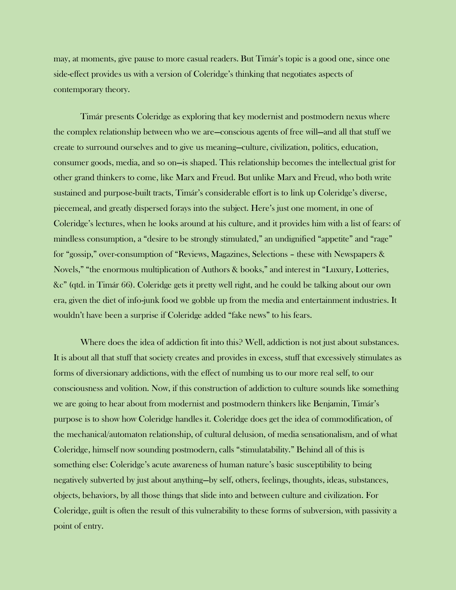may, at moments, give pause to more casual readers. But Timár's topic is a good one, since one side-effect provides us with a version of Coleridge's thinking that negotiates aspects of contemporary theory.

Timár presents Coleridge as exploring that key modernist and postmodern nexus where the complex relationship between who we are—conscious agents of free will—and all that stuff we create to surround ourselves and to give us meaning—culture, civilization, politics, education, consumer goods, media, and so on—is shaped. This relationship becomes the intellectual grist for other grand thinkers to come, like Marx and Freud. But unlike Marx and Freud, who both write sustained and purpose-built tracts, Timár's considerable effort is to link up Coleridge's diverse, piecemeal, and greatly dispersed forays into the subject. Here's just one moment, in one of Coleridge's lectures, when he looks around at his culture, and it provides him with a list of fears: of mindless consumption, a "desire to be strongly stimulated," an undignified "appetite" and "rage" for "gossip," over-consumption of "Reviews, Magazines, Selections – these with Newspapers & Novels," "the enormous multiplication of Authors & books," and interest in "Luxury, Lotteries, &c" (qtd. in Timár 66). Coleridge gets it pretty well right, and he could be talking about our own era, given the diet of info-junk food we gobble up from the media and entertainment industries. It wouldn't have been a surprise if Coleridge added "fake news" to his fears.

Where does the idea of addiction fit into this? Well, addiction is not just about substances. It is about all that stuff that society creates and provides in excess, stuff that excessively stimulates as forms of diversionary addictions, with the effect of numbing us to our more real self, to our consciousness and volition. Now, if this construction of addiction to culture sounds like something we are going to hear about from modernist and postmodern thinkers like Benjamin, Timár's purpose is to show how Coleridge handles it. Coleridge does get the idea of commodification, of the mechanical/automaton relationship, of cultural delusion, of media sensationalism, and of what Coleridge, himself now sounding postmodern, calls "stimulatability." Behind all of this is something else: Coleridge's acute awareness of human nature's basic susceptibility to being negatively subverted by just about anything—by self, others, feelings, thoughts, ideas, substances, objects, behaviors, by all those things that slide into and between culture and civilization. For Coleridge, guilt is often the result of this vulnerability to these forms of subversion, with passivity a point of entry.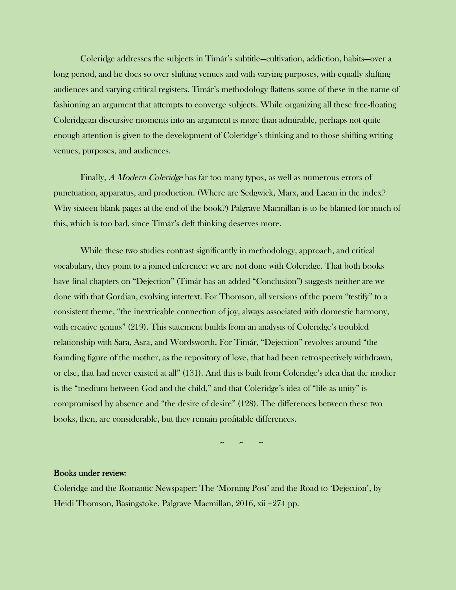Coleridge addresses the subjects in Timár's subtitle—cultivation, addiction, habits—over a long period, and he does so over shifting venues and with varying purposes, with equally shifting audiences and varying critical registers. Timár's methodology flattens some of these in the name of fashioning an argument that attempts to converge subjects. While organizing all these free-floating Coleridgean discursive moments into an argument is more than admirable, perhaps not quite enough attention is given to the development of Coleridge's thinking and to those shifting writing venues, purposes, and audiences.

Finally, A Modern Coleridge has far too many typos, as well as numerous errors of punctuation, apparatus, and production. (Where are Sedgwick, Marx, and Lacan in the index? Why sixteen blank pages at the end of the book?) Palgrave Macmillan is to be blamed for much of this, which is too bad, since Timár's deft thinking deserves more.

While these two studies contrast significantly in methodology, approach, and critical vocabulary, they point to a joined inference: we are not done with Coleridge. That both books have final chapters on "Dejection" (Timár has an added "Conclusion") suggests neither are we done with that Gordian, evolving intertext. For Thomson, all versions of the poem "testify" to a consistent theme, "the inextricable connection of joy, always associated with domestic harmony, with creative genius" (219). This statement builds from an analysis of Coleridge's troubled relationship with Sara, Asra, and Wordsworth. For Timár, "Dejection" revolves around "the founding figure of the mother, as the repository of love, that had been retrospectively withdrawn, or else, that had never existed at all" (131). And this is built from Coleridge's idea that the mother is the "medium between God and the child," and that Coleridge's idea of "life as unity" is compromised by absence and "the desire of desire" (128). The differences between these two books, then, are considerable, but they remain profitable differences.

 $\sim$   $\sim$   $\sim$ 

## Books under review:

Coleridge and the Romantic Newspaper: The 'Morning Post' and the Road to 'Dejection', by Heidi Thomson, Basingstoke, Palgrave Macmillan, 2016, xii +274 pp.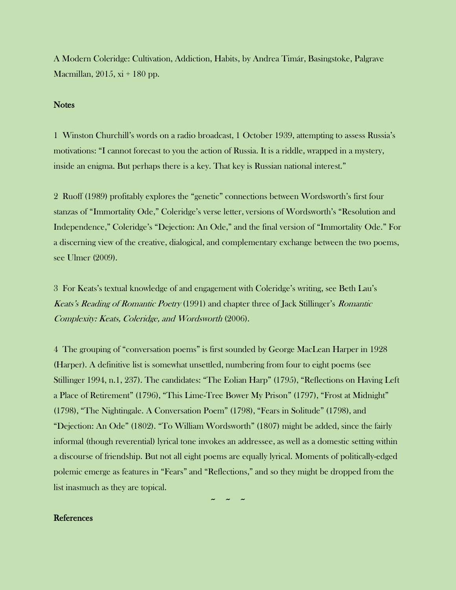A Modern Coleridge: Cultivation, Addiction, Habits, by Andrea Timár, Basingstoke, Palgrave Macmillan,  $2015$ ,  $xi + 180$  pp.

## **Notes**

1 Winston Churchill's words on a radio broadcast, 1 October 1939, attempting to assess Russia's motivations: "I cannot forecast to you the action of Russia. It is a riddle, wrapped in a mystery, inside an enigma. But perhaps there is a key. That key is Russian national interest."

2 Ruoff (1989) profitably explores the "genetic" connections between Wordsworth's first four stanzas of "Immortality Ode," Coleridge's verse letter, versions of Wordsworth's "Resolution and Independence," Coleridge's "Dejection: An Ode," and the final version of "Immortality Ode." For a discerning view of the creative, dialogical, and complementary exchange between the two poems, see Ulmer (2009).

3 For Keats's textual knowledge of and engagement with Coleridge's writing, see Beth Lau's Keats's Reading of Romantic Poetry (1991) and chapter three of Jack Stillinger's Romantic Complexity: Keats, Coleridge, and Wordsworth (2006).

4 The grouping of "conversation poems" is first sounded by George MacLean Harper in 1928 (Harper). A definitive list is somewhat unsettled, numbering from four to eight poems (see Stillinger 1994, n.1, 237). The candidates: "The Eolian Harp" (1795), "Reflections on Having Left a Place of Retirement" (1796), "This Lime-Tree Bower My Prison" (1797), "Frost at Midnight" (1798), "The Nightingale. A Conversation Poem" (1798), "Fears in Solitude" (1798), and "Dejection: An Ode" (1802). "To William Wordsworth" (1807) might be added, since the fairly informal (though reverential) lyrical tone invokes an addressee, as well as a domestic setting within a discourse of friendship. But not all eight poems are equally lyrical. Moments of politically-edged polemic emerge as features in "Fears" and "Reflections," and so they might be dropped from the list inasmuch as they are topical.

 $\sim$   $\sim$   $\sim$ 

## References